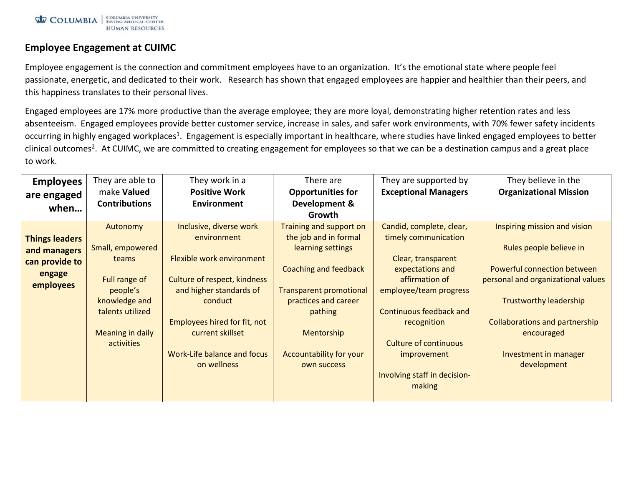## **Employee Engagement at CUIMC**

Employee engagement is the connection and commitment employees have to an organization. It's the emotional state where people feel passionate, energetic, and dedicated to their work. Research has shown that engaged employees are happier and healthier than their peers, and this happiness translates to their personal lives.

Engaged employees are 17% more productive than the average employee; they are more loyal, demonstrating higher retention rates and less absenteeism. Engaged employees provide better customer service, increase in sales, and safer work environments, with 70% fewer safety incidents occurring in highly engaged workplaces<sup>1</sup>. Engagement is especially important in healthcare, where studies have linked engaged employees to better clinical outcomes<sup>2</sup>. At CUIMC, we are committed to creating engagement for employees so that we can be a destination campus and a great place to work.

| <b>Organizational Mission</b>         |
|---------------------------------------|
|                                       |
|                                       |
|                                       |
| Inspiring mission and vision          |
|                                       |
| Rules people believe in               |
|                                       |
| Powerful connection between           |
| personal and organizational values    |
|                                       |
| <b>Trustworthy leadership</b>         |
|                                       |
| <b>Collaborations and partnership</b> |
| encouraged                            |
|                                       |
| Investment in manager                 |
| development                           |
|                                       |
|                                       |
|                                       |